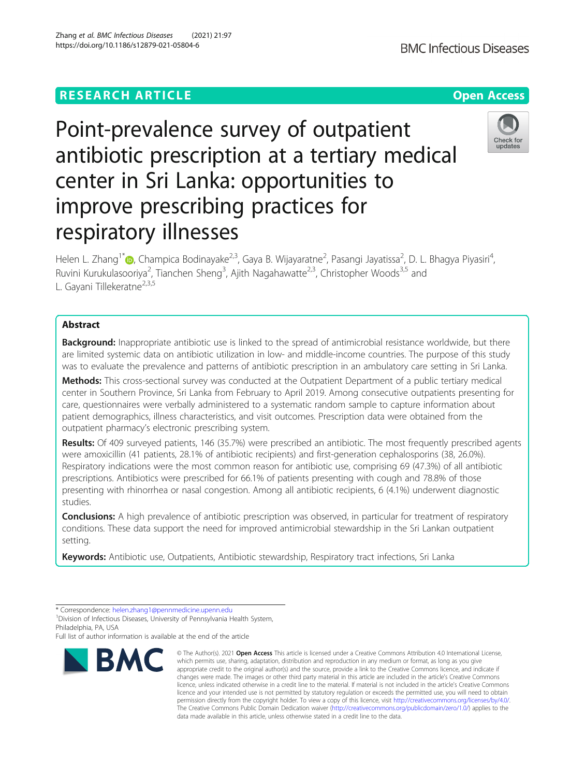# **RESEARCH ARTICLE Example 2014 12:30 The Contract of Contract ACCESS**

# Point-prevalence survey of outpatient antibiotic prescription at a tertiary medical center in Sri Lanka: opportunities to improve prescribing practices for respiratory illnesses

Helen L. Zhang<sup>1[\\*](http://orcid.org/0000-0001-8978-1832)</sup>®, Champica Bodinayake<sup>2,3</sup>, Gaya B. Wijayaratne<sup>2</sup>, Pasangi Jayatissa<sup>2</sup>, D. L. Bhagya Piyasiri<sup>4</sup> , Ruvini Kurukulasooriya<sup>2</sup>, Tianchen Sheng<sup>3</sup>, Ajith Nagahawatte<sup>2,3</sup>, Christopher Woods<sup>3,5</sup> and L. Gayani Tillekeratne<sup>2,3,5</sup>

# Abstract

Background: Inappropriate antibiotic use is linked to the spread of antimicrobial resistance worldwide, but there are limited systemic data on antibiotic utilization in low- and middle-income countries. The purpose of this study was to evaluate the prevalence and patterns of antibiotic prescription in an ambulatory care setting in Sri Lanka.

Methods: This cross-sectional survey was conducted at the Outpatient Department of a public tertiary medical center in Southern Province, Sri Lanka from February to April 2019. Among consecutive outpatients presenting for care, questionnaires were verbally administered to a systematic random sample to capture information about patient demographics, illness characteristics, and visit outcomes. Prescription data were obtained from the outpatient pharmacy's electronic prescribing system.

Results: Of 409 surveyed patients, 146 (35.7%) were prescribed an antibiotic. The most frequently prescribed agents were amoxicillin (41 patients, 28.1% of antibiotic recipients) and first-generation cephalosporins (38, 26.0%). Respiratory indications were the most common reason for antibiotic use, comprising 69 (47.3%) of all antibiotic prescriptions. Antibiotics were prescribed for 66.1% of patients presenting with cough and 78.8% of those presenting with rhinorrhea or nasal congestion. Among all antibiotic recipients, 6 (4.1%) underwent diagnostic studies.

**Conclusions:** A high prevalence of antibiotic prescription was observed, in particular for treatment of respiratory conditions. These data support the need for improved antimicrobial stewardship in the Sri Lankan outpatient setting.

Keywords: Antibiotic use, Outpatients, Antibiotic stewardship, Respiratory tract infections, Sri Lanka

<sup>1</sup> Division of Infectious Diseases, University of Pennsylvania Health System, Philadelphia, PA, USA

Full list of author information is available at the end of the article





<sup>\*</sup> Correspondence: [helen.zhang1@pennmedicine.upenn.edu](mailto:helen.zhang1@pennmedicine.upenn.edu) <sup>1</sup>

<sup>©</sup> The Author(s), 2021 **Open Access** This article is licensed under a Creative Commons Attribution 4.0 International License, which permits use, sharing, adaptation, distribution and reproduction in any medium or format, as long as you give appropriate credit to the original author(s) and the source, provide a link to the Creative Commons licence, and indicate if changes were made. The images or other third party material in this article are included in the article's Creative Commons licence, unless indicated otherwise in a credit line to the material. If material is not included in the article's Creative Commons licence and your intended use is not permitted by statutory regulation or exceeds the permitted use, you will need to obtain permission directly from the copyright holder. To view a copy of this licence, visit [http://creativecommons.org/licenses/by/4.0/.](http://creativecommons.org/licenses/by/4.0/) The Creative Commons Public Domain Dedication waiver [\(http://creativecommons.org/publicdomain/zero/1.0/](http://creativecommons.org/publicdomain/zero/1.0/)) applies to the data made available in this article, unless otherwise stated in a credit line to the data.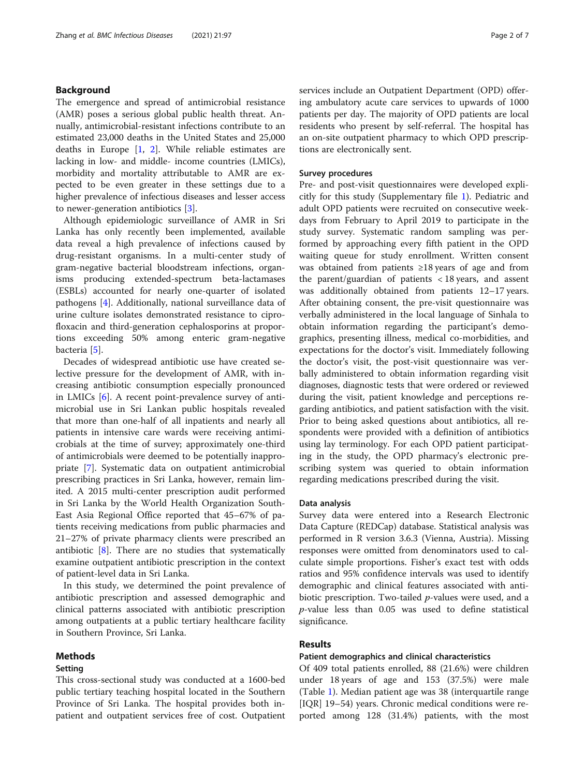# Background

The emergence and spread of antimicrobial resistance (AMR) poses a serious global public health threat. Annually, antimicrobial-resistant infections contribute to an estimated 23,000 deaths in the United States and 25,000 deaths in Europe  $\begin{bmatrix} 1, 2 \end{bmatrix}$ . While reliable estimates are lacking in low- and middle- income countries (LMICs), morbidity and mortality attributable to AMR are expected to be even greater in these settings due to a higher prevalence of infectious diseases and lesser access to newer-generation antibiotics [[3\]](#page-6-0).

Although epidemiologic surveillance of AMR in Sri Lanka has only recently been implemented, available data reveal a high prevalence of infections caused by drug-resistant organisms. In a multi-center study of gram-negative bacterial bloodstream infections, organisms producing extended-spectrum beta-lactamases (ESBLs) accounted for nearly one-quarter of isolated pathogens [[4\]](#page-6-0). Additionally, national surveillance data of urine culture isolates demonstrated resistance to ciprofloxacin and third-generation cephalosporins at proportions exceeding 50% among enteric gram-negative bacteria [[5\]](#page-6-0).

Decades of widespread antibiotic use have created selective pressure for the development of AMR, with increasing antibiotic consumption especially pronounced in LMICs [[6\]](#page-6-0). A recent point-prevalence survey of antimicrobial use in Sri Lankan public hospitals revealed that more than one-half of all inpatients and nearly all patients in intensive care wards were receiving antimicrobials at the time of survey; approximately one-third of antimicrobials were deemed to be potentially inappropriate [\[7](#page-6-0)]. Systematic data on outpatient antimicrobial prescribing practices in Sri Lanka, however, remain limited. A 2015 multi-center prescription audit performed in Sri Lanka by the World Health Organization South-East Asia Regional Office reported that 45–67% of patients receiving medications from public pharmacies and 21–27% of private pharmacy clients were prescribed an antibiotic  $[8]$  $[8]$ . There are no studies that systematically examine outpatient antibiotic prescription in the context of patient-level data in Sri Lanka.

In this study, we determined the point prevalence of antibiotic prescription and assessed demographic and clinical patterns associated with antibiotic prescription among outpatients at a public tertiary healthcare facility in Southern Province, Sri Lanka.

#### Methods

# Setting

This cross-sectional study was conducted at a 1600-bed public tertiary teaching hospital located in the Southern Province of Sri Lanka. The hospital provides both inpatient and outpatient services free of cost. Outpatient services include an Outpatient Department (OPD) offering ambulatory acute care services to upwards of 1000 patients per day. The majority of OPD patients are local residents who present by self-referral. The hospital has an on-site outpatient pharmacy to which OPD prescriptions are electronically sent.

#### Survey procedures

Pre- and post-visit questionnaires were developed explicitly for this study (Supplementary file [1\)](#page-5-0). Pediatric and adult OPD patients were recruited on consecutive weekdays from February to April 2019 to participate in the study survey. Systematic random sampling was performed by approaching every fifth patient in the OPD waiting queue for study enrollment. Written consent was obtained from patients ≥18 years of age and from the parent/guardian of patients < 18 years, and assent was additionally obtained from patients 12–17 years. After obtaining consent, the pre-visit questionnaire was verbally administered in the local language of Sinhala to obtain information regarding the participant's demographics, presenting illness, medical co-morbidities, and expectations for the doctor's visit. Immediately following the doctor's visit, the post-visit questionnaire was verbally administered to obtain information regarding visit diagnoses, diagnostic tests that were ordered or reviewed during the visit, patient knowledge and perceptions regarding antibiotics, and patient satisfaction with the visit. Prior to being asked questions about antibiotics, all respondents were provided with a definition of antibiotics using lay terminology. For each OPD patient participating in the study, the OPD pharmacy's electronic prescribing system was queried to obtain information regarding medications prescribed during the visit.

#### Data analysis

Survey data were entered into a Research Electronic Data Capture (REDCap) database. Statistical analysis was performed in R version 3.6.3 (Vienna, Austria). Missing responses were omitted from denominators used to calculate simple proportions. Fisher's exact test with odds ratios and 95% confidence intervals was used to identify demographic and clinical features associated with antibiotic prescription. Two-tailed *p*-values were used, and a  $p$ -value less than 0.05 was used to define statistical significance.

## Results

# Patient demographics and clinical characteristics

Of 409 total patients enrolled, 88 (21.6%) were children under 18 years of age and 153 (37.5%) were male (Table [1\)](#page-2-0). Median patient age was 38 (interquartile range [IQR] 19–54) years. Chronic medical conditions were reported among 128 (31.4%) patients, with the most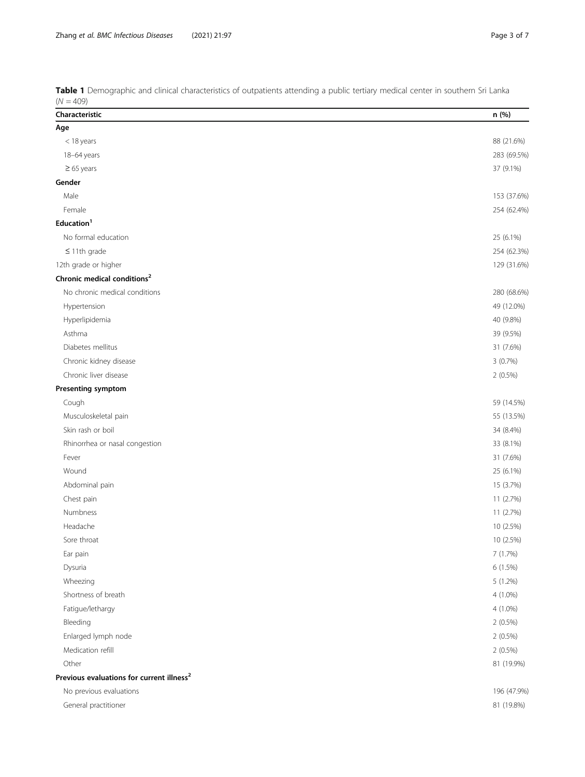| Characteristic                                        | n (%)       |
|-------------------------------------------------------|-------------|
| Age                                                   |             |
| $<$ 18 years                                          | 88 (21.6%)  |
| 18-64 years                                           | 283 (69.5%) |
| $\geq 65$ years                                       | 37 (9.1%)   |
| Gender                                                |             |
| Male                                                  | 153 (37.6%) |
| Female                                                | 254 (62.4%) |
| Education <sup>1</sup>                                |             |
| No formal education                                   | 25 (6.1%)   |
| $\leq$ 11th grade                                     | 254 (62.3%) |
| 12th grade or higher                                  | 129 (31.6%) |
| Chronic medical conditions <sup>2</sup>               |             |
| No chronic medical conditions                         | 280 (68.6%) |
| Hypertension                                          | 49 (12.0%)  |
| Hyperlipidemia                                        | 40 (9.8%)   |
| Asthma                                                | 39 (9.5%)   |
| Diabetes mellitus                                     | 31 (7.6%)   |
| Chronic kidney disease                                | 3(0.7%)     |
| Chronic liver disease                                 | $2(0.5\%)$  |
| Presenting symptom                                    |             |
| Cough                                                 | 59 (14.5%)  |
| Musculoskeletal pain                                  | 55 (13.5%)  |
| Skin rash or boil                                     | 34 (8.4%)   |
| Rhinorrhea or nasal congestion                        | 33 (8.1%)   |
| Fever                                                 | 31 (7.6%)   |
| Wound                                                 | 25 (6.1%)   |
| Abdominal pain                                        | 15 (3.7%)   |
| Chest pain                                            | 11 (2.7%)   |
| Numbness                                              | 11 (2.7%)   |
| Headache                                              | 10 (2.5%)   |
| Sore throat                                           | 10 (2.5%)   |
| Ear pain                                              | 7(1.7%)     |
| Dysuria                                               | 6 (1.5%)    |
| Wheezing                                              | 5 (1.2%)    |
| Shortness of breath                                   | 4 (1.0%)    |
| Fatigue/lethargy                                      | $4(1.0\%)$  |
| Bleeding                                              | $2(0.5\%)$  |
| Enlarged lymph node                                   | $2(0.5\%)$  |
| Medication refill                                     | $2(0.5\%)$  |
| Other                                                 | 81 (19.9%)  |
| Previous evaluations for current illness <sup>2</sup> |             |
| No previous evaluations                               | 196 (47.9%) |
| General practitioner                                  | 81 (19.8%)  |

<span id="page-2-0"></span>Table 1 Demographic and clinical characteristics of outpatients attending a public tertiary medical center in southern Sri Lanka  $(N = 409)$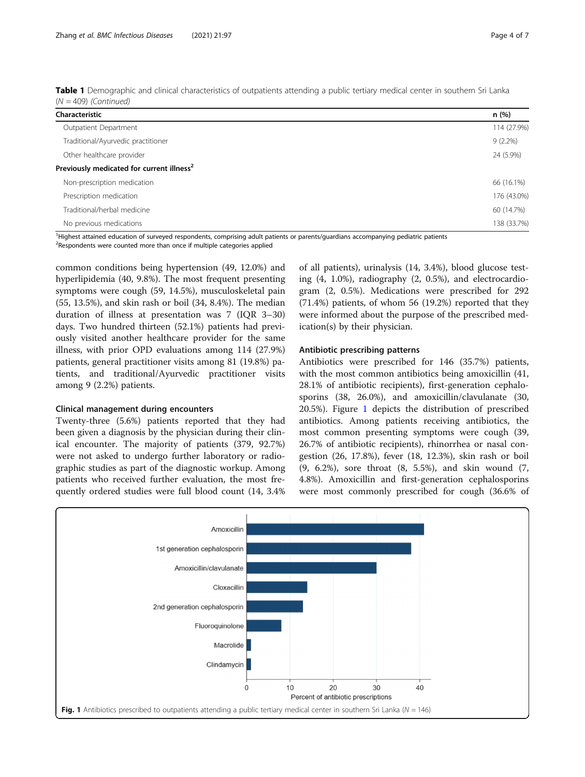| $(N = 409)$ (Continued) |  | Table 1 Demographic and clinical characteristics of outpatients attending a public tertiary medical center in southern Sri Lanka |  |
|-------------------------|--|----------------------------------------------------------------------------------------------------------------------------------|--|
|                         |  |                                                                                                                                  |  |

| Characteristic                                        | n(%)        |
|-------------------------------------------------------|-------------|
| Outpatient Department                                 | 114 (27.9%) |
| Traditional/Ayurvedic practitioner                    | $9(2.2\%)$  |
| Other healthcare provider                             | 24 (5.9%)   |
| Previously medicated for current illness <sup>2</sup> |             |
| Non-prescription medication                           | 66 (16.1%)  |
| Prescription medication                               | 176 (43.0%) |
| Traditional/herbal medicine                           | 60 (14.7%)  |
| No previous medications                               | 138 (33.7%) |

<sup>1</sup>Highest attained education of surveyed respondents, comprising adult patients or parents/guardians accompanying pediatric patients

<sup>2</sup>Respondents were counted more than once if multiple categories applied

common conditions being hypertension (49, 12.0%) and hyperlipidemia (40, 9.8%). The most frequent presenting symptoms were cough (59, 14.5%), musculoskeletal pain (55, 13.5%), and skin rash or boil (34, 8.4%). The median duration of illness at presentation was 7 (IQR 3–30) days. Two hundred thirteen (52.1%) patients had previously visited another healthcare provider for the same illness, with prior OPD evaluations among 114 (27.9%) patients, general practitioner visits among 81 (19.8%) patients, and traditional/Ayurvedic practitioner visits among 9 (2.2%) patients.

#### Clinical management during encounters

Twenty-three (5.6%) patients reported that they had been given a diagnosis by the physician during their clinical encounter. The majority of patients (379, 92.7%) were not asked to undergo further laboratory or radiographic studies as part of the diagnostic workup. Among patients who received further evaluation, the most frequently ordered studies were full blood count (14, 3.4%

of all patients), urinalysis (14, 3.4%), blood glucose testing (4, 1.0%), radiography (2, 0.5%), and electrocardiogram (2, 0.5%). Medications were prescribed for 292 (71.4%) patients, of whom 56 (19.2%) reported that they were informed about the purpose of the prescribed medication(s) by their physician.

#### Antibiotic prescribing patterns

Antibiotics were prescribed for 146 (35.7%) patients, with the most common antibiotics being amoxicillin (41, 28.1% of antibiotic recipients), first-generation cephalosporins (38, 26.0%), and amoxicillin/clavulanate (30, 20.5%). Figure 1 depicts the distribution of prescribed antibiotics. Among patients receiving antibiotics, the most common presenting symptoms were cough (39, 26.7% of antibiotic recipients), rhinorrhea or nasal congestion (26, 17.8%), fever (18, 12.3%), skin rash or boil (9, 6.2%), sore throat (8, 5.5%), and skin wound (7, 4.8%). Amoxicillin and first-generation cephalosporins were most commonly prescribed for cough (36.6% of

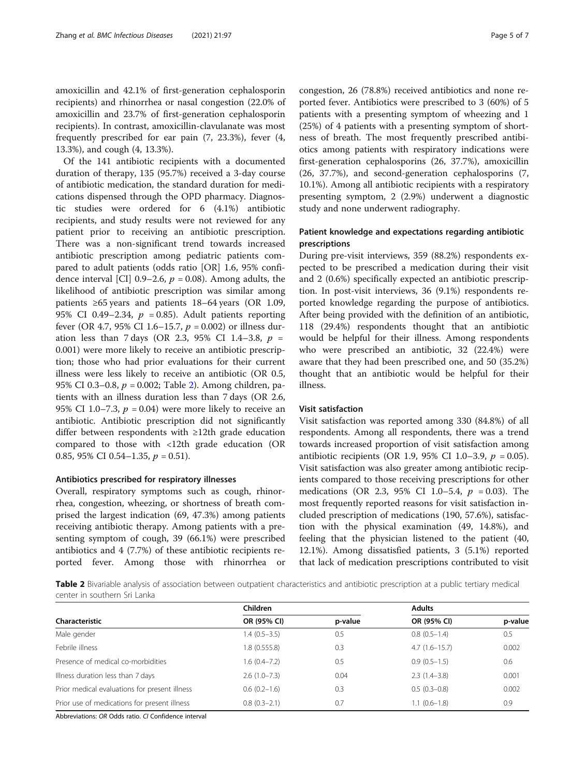amoxicillin and 42.1% of first-generation cephalosporin recipients) and rhinorrhea or nasal congestion (22.0% of amoxicillin and 23.7% of first-generation cephalosporin recipients). In contrast, amoxicillin-clavulanate was most frequently prescribed for ear pain (7, 23.3%), fever (4, 13.3%), and cough (4, 13.3%).

Of the 141 antibiotic recipients with a documented duration of therapy, 135 (95.7%) received a 3-day course of antibiotic medication, the standard duration for medications dispensed through the OPD pharmacy. Diagnostic studies were ordered for 6 (4.1%) antibiotic recipients, and study results were not reviewed for any patient prior to receiving an antibiotic prescription. There was a non-significant trend towards increased antibiotic prescription among pediatric patients compared to adult patients (odds ratio [OR] 1.6, 95% confidence interval [CI] 0.9–2.6,  $p = 0.08$ ). Among adults, the likelihood of antibiotic prescription was similar among patients ≥65 years and patients 18–64 years (OR 1.09, 95% CI 0.49-2.34,  $p = 0.85$ ). Adult patients reporting fever (OR 4.7, 95% CI 1.6–15.7,  $p = 0.002$ ) or illness duration less than 7 days (OR 2.3, 95% CI 1.4–3.8,  $p =$ 0.001) were more likely to receive an antibiotic prescription; those who had prior evaluations for their current illness were less likely to receive an antibiotic (OR 0.5, 95% CI 0.3–0.8,  $p = 0.002$ ; Table 2). Among children, patients with an illness duration less than 7 days (OR 2.6, 95% CI 1.0–7.3,  $p = 0.04$ ) were more likely to receive an antibiotic. Antibiotic prescription did not significantly differ between respondents with ≥12th grade education compared to those with <12th grade education (OR 0.85, 95% CI 0.54–1.35,  $p = 0.51$ ).

#### Antibiotics prescribed for respiratory illnesses

Overall, respiratory symptoms such as cough, rhinorrhea, congestion, wheezing, or shortness of breath comprised the largest indication (69, 47.3%) among patients receiving antibiotic therapy. Among patients with a presenting symptom of cough, 39 (66.1%) were prescribed antibiotics and 4 (7.7%) of these antibiotic recipients reported fever. Among those with rhinorrhea or

congestion, 26 (78.8%) received antibiotics and none reported fever. Antibiotics were prescribed to 3 (60%) of 5 patients with a presenting symptom of wheezing and 1 (25%) of 4 patients with a presenting symptom of shortness of breath. The most frequently prescribed antibiotics among patients with respiratory indications were first-generation cephalosporins (26, 37.7%), amoxicillin (26, 37.7%), and second-generation cephalosporins (7, 10.1%). Among all antibiotic recipients with a respiratory presenting symptom, 2 (2.9%) underwent a diagnostic study and none underwent radiography.

# Patient knowledge and expectations regarding antibiotic prescriptions

During pre-visit interviews, 359 (88.2%) respondents expected to be prescribed a medication during their visit and 2 (0.6%) specifically expected an antibiotic prescription. In post-visit interviews, 36 (9.1%) respondents reported knowledge regarding the purpose of antibiotics. After being provided with the definition of an antibiotic, 118 (29.4%) respondents thought that an antibiotic would be helpful for their illness. Among respondents who were prescribed an antibiotic, 32 (22.4%) were aware that they had been prescribed one, and 50 (35.2%) thought that an antibiotic would be helpful for their illness.

#### Visit satisfaction

Visit satisfaction was reported among 330 (84.8%) of all respondents. Among all respondents, there was a trend towards increased proportion of visit satisfaction among antibiotic recipients (OR 1.9, 95% CI 1.0–3.9,  $p = 0.05$ ). Visit satisfaction was also greater among antibiotic recipients compared to those receiving prescriptions for other medications (OR 2.3, 95% CI 1.0–5.4,  $p = 0.03$ ). The most frequently reported reasons for visit satisfaction included prescription of medications (190, 57.6%), satisfaction with the physical examination (49, 14.8%), and feeling that the physician listened to the patient (40, 12.1%). Among dissatisfied patients, 3 (5.1%) reported that lack of medication prescriptions contributed to visit

Table 2 Bivariable analysis of association between outpatient characteristics and antibiotic prescription at a public tertiary medical center in southern Sri Lanka

|                                               | Children         |         | <b>Adults</b>     |         |
|-----------------------------------------------|------------------|---------|-------------------|---------|
| Characteristic                                | OR (95% CI)      | p-value | OR (95% CI)       | p-value |
| Male gender                                   | $1.4(0.5-3.5)$   | 0.5     | $0.8(0.5-1.4)$    | 0.5     |
| Febrile illness                               | 1.8(0.555.8)     | 0.3     | $4.7(1.6 - 15.7)$ | 0.002   |
| Presence of medical co-morbidities            | $1.6(0.4 - 7.2)$ | 0.5     | $0.9(0.5-1.5)$    | 0.6     |
| Illness duration less than 7 days             | $2.6(1.0 - 7.3)$ | 0.04    | $2.3(1.4-3.8)$    | 0.001   |
| Prior medical evaluations for present illness | $0.6(0.2-1.6)$   | 0.3     | $0.5(0.3-0.8)$    | 0.002   |
| Prior use of medications for present illness  | $0.8(0.3-2.1)$   | 0.7     | $1.1(0.6-1.8)$    | 0.9     |

Abbreviations: OR Odds ratio. CI Confidence interval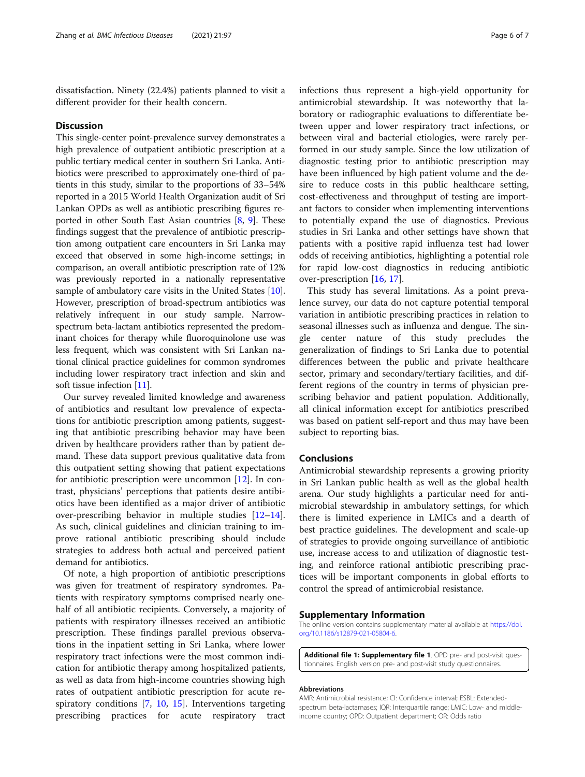<span id="page-5-0"></span>dissatisfaction. Ninety (22.4%) patients planned to visit a different provider for their health concern.

#### **Discussion**

This single-center point-prevalence survey demonstrates a high prevalence of outpatient antibiotic prescription at a public tertiary medical center in southern Sri Lanka. Antibiotics were prescribed to approximately one-third of patients in this study, similar to the proportions of 33–54% reported in a 2015 World Health Organization audit of Sri Lankan OPDs as well as antibiotic prescribing figures reported in other South East Asian countries [[8,](#page-6-0) [9](#page-6-0)]. These findings suggest that the prevalence of antibiotic prescription among outpatient care encounters in Sri Lanka may exceed that observed in some high-income settings; in comparison, an overall antibiotic prescription rate of 12% was previously reported in a nationally representative sample of ambulatory care visits in the United States [[10](#page-6-0)]. However, prescription of broad-spectrum antibiotics was relatively infrequent in our study sample. Narrowspectrum beta-lactam antibiotics represented the predominant choices for therapy while fluoroquinolone use was less frequent, which was consistent with Sri Lankan national clinical practice guidelines for common syndromes including lower respiratory tract infection and skin and soft tissue infection [[11](#page-6-0)].

Our survey revealed limited knowledge and awareness of antibiotics and resultant low prevalence of expectations for antibiotic prescription among patients, suggesting that antibiotic prescribing behavior may have been driven by healthcare providers rather than by patient demand. These data support previous qualitative data from this outpatient setting showing that patient expectations for antibiotic prescription were uncommon [[12\]](#page-6-0). In contrast, physicians' perceptions that patients desire antibiotics have been identified as a major driver of antibiotic over-prescribing behavior in multiple studies [[12](#page-6-0)–[14](#page-6-0)]. As such, clinical guidelines and clinician training to improve rational antibiotic prescribing should include strategies to address both actual and perceived patient demand for antibiotics.

Of note, a high proportion of antibiotic prescriptions was given for treatment of respiratory syndromes. Patients with respiratory symptoms comprised nearly onehalf of all antibiotic recipients. Conversely, a majority of patients with respiratory illnesses received an antibiotic prescription. These findings parallel previous observations in the inpatient setting in Sri Lanka, where lower respiratory tract infections were the most common indication for antibiotic therapy among hospitalized patients, as well as data from high-income countries showing high rates of outpatient antibiotic prescription for acute respiratory conditions [[7,](#page-6-0) [10](#page-6-0), [15\]](#page-6-0). Interventions targeting prescribing practices for acute respiratory tract

infections thus represent a high-yield opportunity for antimicrobial stewardship. It was noteworthy that laboratory or radiographic evaluations to differentiate between upper and lower respiratory tract infections, or between viral and bacterial etiologies, were rarely performed in our study sample. Since the low utilization of diagnostic testing prior to antibiotic prescription may have been influenced by high patient volume and the desire to reduce costs in this public healthcare setting, cost-effectiveness and throughput of testing are important factors to consider when implementing interventions to potentially expand the use of diagnostics. Previous studies in Sri Lanka and other settings have shown that patients with a positive rapid influenza test had lower odds of receiving antibiotics, highlighting a potential role for rapid low-cost diagnostics in reducing antibiotic over-prescription [\[16](#page-6-0), [17](#page-6-0)].

This study has several limitations. As a point prevalence survey, our data do not capture potential temporal variation in antibiotic prescribing practices in relation to seasonal illnesses such as influenza and dengue. The single center nature of this study precludes the generalization of findings to Sri Lanka due to potential differences between the public and private healthcare sector, primary and secondary/tertiary facilities, and different regions of the country in terms of physician prescribing behavior and patient population. Additionally, all clinical information except for antibiotics prescribed was based on patient self-report and thus may have been subject to reporting bias.

#### Conclusions

Antimicrobial stewardship represents a growing priority in Sri Lankan public health as well as the global health arena. Our study highlights a particular need for antimicrobial stewardship in ambulatory settings, for which there is limited experience in LMICs and a dearth of best practice guidelines. The development and scale-up of strategies to provide ongoing surveillance of antibiotic use, increase access to and utilization of diagnostic testing, and reinforce rational antibiotic prescribing practices will be important components in global efforts to control the spread of antimicrobial resistance.

#### Supplementary Information

The online version contains supplementary material available at [https://doi.](https://doi.org/10.1186/s12879-021-05804-6) [org/10.1186/s12879-021-05804-6.](https://doi.org/10.1186/s12879-021-05804-6)

Additional file 1: Supplementary file 1. OPD pre- and post-visit questionnaires. English version pre- and post-visit study questionnaires.

#### Abbreviations

AMR: Antimicrobial resistance; CI: Confidence interval; ESBL: Extendedspectrum beta-lactamases; IQR: Interquartile range; LMIC: Low- and middleincome country; OPD: Outpatient department; OR: Odds ratio